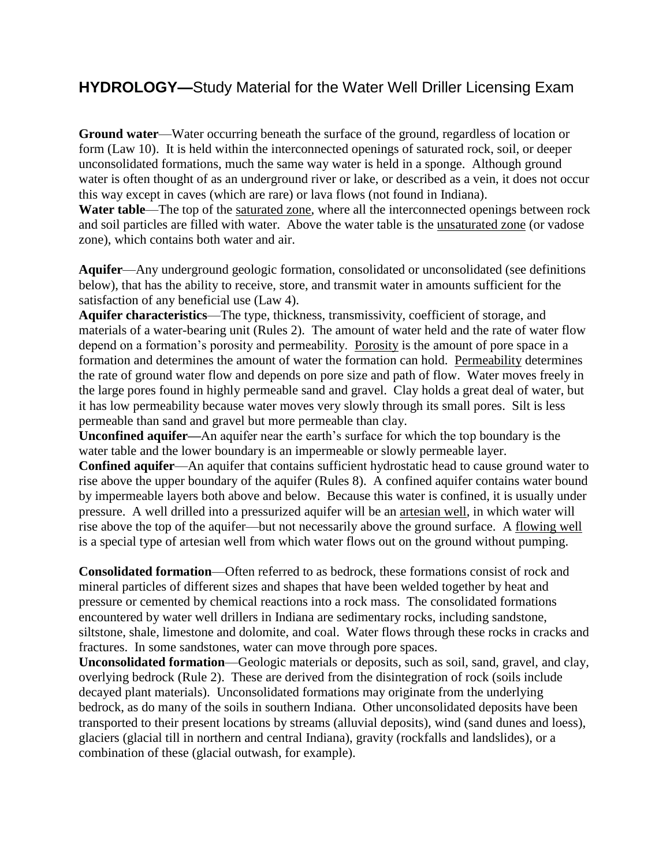## **HYDROLOGY—**Study Material for the Water Well Driller Licensing Exam

**Ground water**—Water occurring beneath the surface of the ground, regardless of location or form (Law 10). It is held within the interconnected openings of saturated rock, soil, or deeper unconsolidated formations, much the same way water is held in a sponge. Although ground water is often thought of as an underground river or lake, or described as a vein, it does not occur this way except in caves (which are rare) or lava flows (not found in Indiana).

Water table—The top of the saturated zone, where all the interconnected openings between rock and soil particles are filled with water. Above the water table is the unsaturated zone (or vadose zone), which contains both water and air.

**Aquifer**—Any underground geologic formation, consolidated or unconsolidated (see definitions below), that has the ability to receive, store, and transmit water in amounts sufficient for the satisfaction of any beneficial use (Law 4).

**Aquifer characteristics**—The type, thickness, transmissivity, coefficient of storage, and materials of a water-bearing unit (Rules 2). The amount of water held and the rate of water flow depend on a formation's porosity and permeability. Porosity is the amount of pore space in a formation and determines the amount of water the formation can hold. Permeability determines the rate of ground water flow and depends on pore size and path of flow. Water moves freely in the large pores found in highly permeable sand and gravel. Clay holds a great deal of water, but it has low permeability because water moves very slowly through its small pores. Silt is less permeable than sand and gravel but more permeable than clay.

**Unconfined aquifer—**An aquifer near the earth's surface for which the top boundary is the water table and the lower boundary is an impermeable or slowly permeable layer.

**Confined aquifer**—An aquifer that contains sufficient hydrostatic head to cause ground water to rise above the upper boundary of the aquifer (Rules 8). A confined aquifer contains water bound by impermeable layers both above and below. Because this water is confined, it is usually under pressure. A well drilled into a pressurized aquifer will be an artesian well, in which water will rise above the top of the aquifer—but not necessarily above the ground surface. A flowing well is a special type of artesian well from which water flows out on the ground without pumping.

**Consolidated formation**—Often referred to as bedrock, these formations consist of rock and mineral particles of different sizes and shapes that have been welded together by heat and pressure or cemented by chemical reactions into a rock mass. The consolidated formations encountered by water well drillers in Indiana are sedimentary rocks, including sandstone, siltstone, shale, limestone and dolomite, and coal. Water flows through these rocks in cracks and fractures. In some sandstones, water can move through pore spaces.

**Unconsolidated formation**—Geologic materials or deposits, such as soil, sand, gravel, and clay, overlying bedrock (Rule 2). These are derived from the disintegration of rock (soils include decayed plant materials). Unconsolidated formations may originate from the underlying bedrock, as do many of the soils in southern Indiana. Other unconsolidated deposits have been transported to their present locations by streams (alluvial deposits), wind (sand dunes and loess), glaciers (glacial till in northern and central Indiana), gravity (rockfalls and landslides), or a combination of these (glacial outwash, for example).